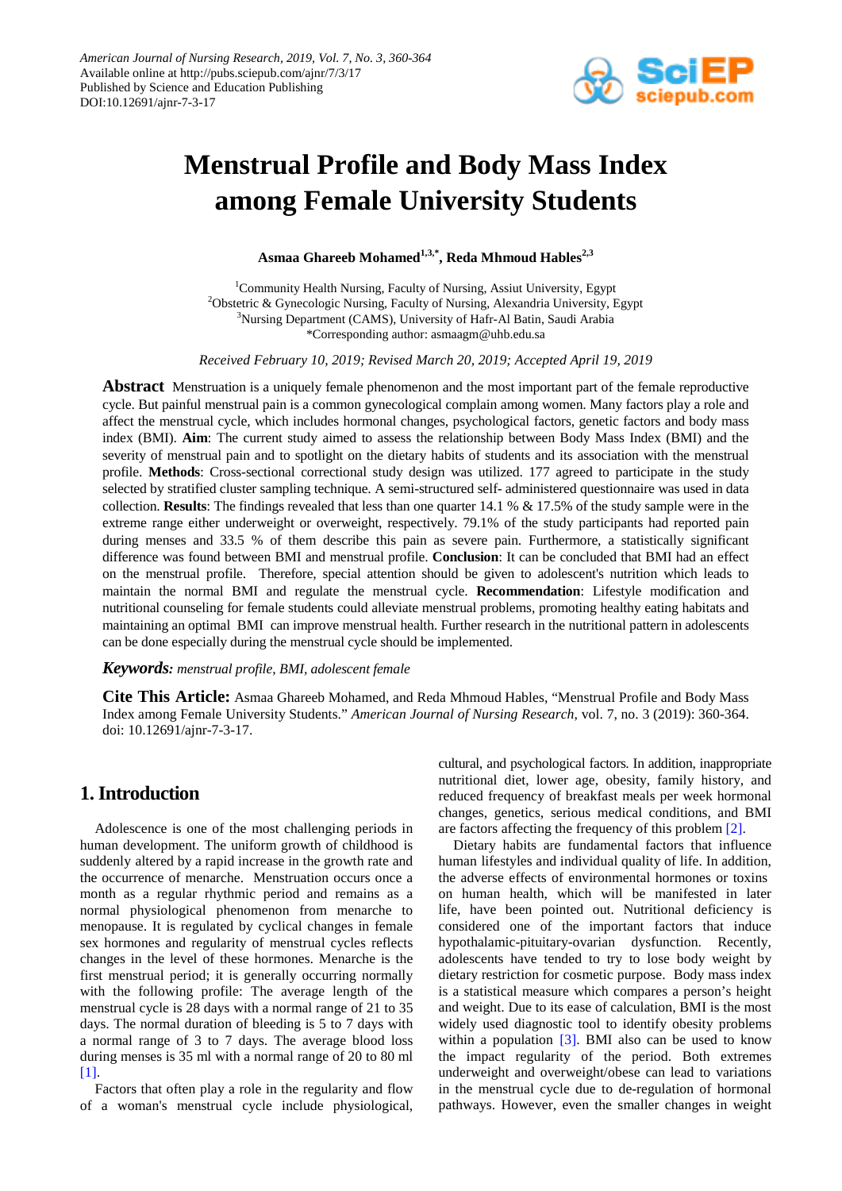

# **Menstrual Profile and Body Mass Index among Female University Students**

**Asmaa Ghareeb Mohamed1,3,\*, Reda Mhmoud Hables2,3**

<sup>1</sup>Community Health Nursing, Faculty of Nursing, Assiut University, Egypt <sup>2</sup>Obstetric & Gynecologic Nursing, Faculty of Nursing, Alexandria University, Egypt <sup>3</sup>Nursing Department (CAMS), University of Hafr-Al Batin, Saudi Arabia \*Corresponding author: asmaagm@uhb.edu.sa

*Received February 10, 2019; Revised March 20, 2019; Accepted April 19, 2019*

**Abstract** Menstruation is a uniquely female phenomenon and the most important part of the female reproductive cycle. But painful menstrual pain is a common gynecological complain among women. Many factors play a role and affect the menstrual cycle, which includes hormonal changes, psychological factors, genetic factors and body mass index (BMI). **Aim**: The current study aimed to assess the relationship between Body Mass Index (BMI) and the severity of menstrual pain and to spotlight on the dietary habits of students and its association with the menstrual profile. **Methods**: Cross-sectional correctional study design was utilized. 177 agreed to participate in the study selected by stratified cluster sampling technique. A semi-structured self- administered questionnaire was used in data collection. **Results**: The findings revealed that less than one quarter 14.1 % & 17.5% of the study sample were in the extreme range either underweight or overweight, respectively. 79.1% of the study participants had reported pain during menses and 33.5 % of them describe this pain as severe pain. Furthermore, a statistically significant difference was found between BMI and menstrual profile. **Conclusion**: It can be concluded that BMI had an effect on the menstrual profile. Therefore, special attention should be given to adolescent's nutrition which leads to maintain the normal BMI and regulate the menstrual cycle. **Recommendation**: Lifestyle modification and nutritional counseling for female students could alleviate menstrual problems, promoting healthy eating habitats and maintaining an optimal BMI can improve menstrual health. Further research in the nutritional pattern in adolescents can be done especially during the menstrual cycle should be implemented.

#### *Keywords: menstrual profile, BMI, adolescent female*

**Cite This Article:** Asmaa Ghareeb Mohamed, and Reda Mhmoud Hables, "Menstrual Profile and Body Mass Index among Female University Students." *American Journal of Nursing Research*, vol. 7, no. 3 (2019): 360-364. doi: 10.12691/ajnr-7-3-17.

# **1. Introduction**

Adolescence is one of the most challenging periods in human development. The uniform growth of childhood is suddenly altered by a rapid increase in the growth rate and the occurrence of menarche. Menstruation occurs once a month as a regular rhythmic period and remains as a normal physiological phenomenon from menarche to menopause. It is regulated by cyclical changes in female sex hormones and regularity of menstrual cycles reflects changes in the level of these hormones. Menarche is the first menstrual period; it is generally occurring normally with the following profile: The average length of the menstrual cycle is 28 days with a normal range of 21 to 35 days. The normal duration of bleeding is 5 to 7 days with a normal range of 3 to 7 days. The average blood loss during menses is 35 ml with a normal range of 20 to 80 ml [\[1\].](#page-3-0)

Factors that often play a role in the regularity and flow of a woman's menstrual cycle include physiological, cultural, and psychological factors. In addition, inappropriate nutritional diet, lower age, obesity, family history, and reduced frequency of breakfast meals per week hormonal changes, genetics, serious medical conditions, and BMI are factors affecting the frequency of this proble[m \[2\].](#page-3-1)

Dietary habits are fundamental factors that influence human lifestyles and individual quality of life. In addition, the adverse effects of environmental hormones or toxins on human health, which will be manifested in later life, have been pointed out. Nutritional deficiency is considered one of the important factors that induce hypothalamic-pituitary-ovarian dysfunction. Recently, adolescents have tended to try to lose body weight by dietary restriction for cosmetic purpose. Body mass index is a statistical measure which compares a person's height and weight. Due to its ease of calculation, BMI is the most widely used diagnostic tool to identify obesity problems withi[n](#page-3-2) a population  $[3]$ . BMI also can be used to know the impact regularity of the period. Both extremes underweight and overweight/obese can lead to variations in the menstrual cycle due to de-regulation of hormonal pathways. However, even the smaller changes in weight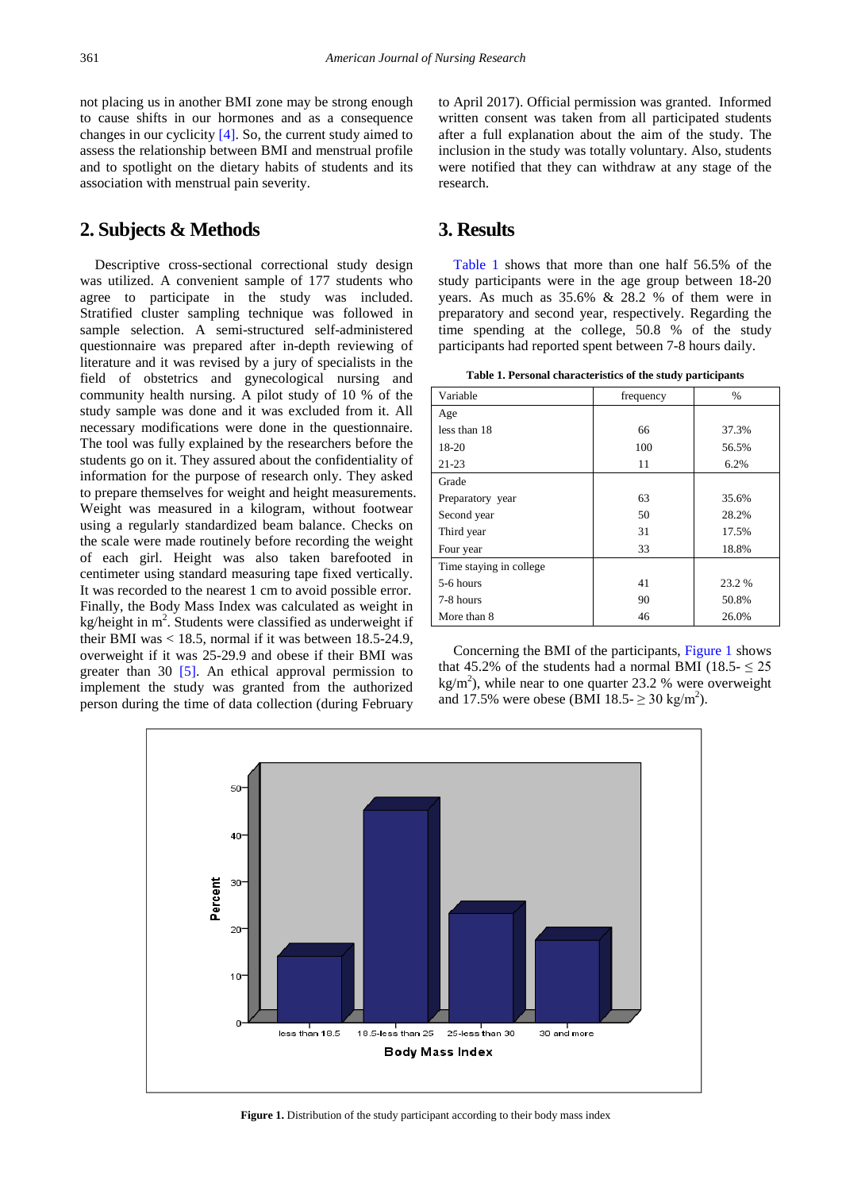not placing us in another BMI zone may be strong enough to cause shifts in our hormones and as a consequence changes in our cyclicity [\[4\].](#page-3-3) So, the current study aimed to assess the relationship between BMI and menstrual profile and to spotlight on the dietary habits of students and its association with menstrual pain severity.

# **2. Subjects & Methods**

Descriptive cross-sectional correctional study design was utilized. A convenient sample of 177 students who agree to participate in the study was included. Stratified cluster sampling technique was followed in sample selection. A semi-structured self-administered questionnaire was prepared after in-depth reviewing of literature and it was revised by a jury of specialists in the field of obstetrics and gynecological nursing and community health nursing. A pilot study of 10 % of the study sample was done and it was excluded from it. All necessary modifications were done in the questionnaire. The tool was fully explained by the researchers before the students go on it. They assured about the confidentiality of information for the purpose of research only. They asked to prepare themselves for weight and height measurements. Weight was measured in a kilogram, without footwear using a regularly standardized beam balance. Checks on the scale were made routinely before recording the weight of each girl. Height was also taken barefooted in centimeter using standard measuring tape fixed vertically. It was recorded to the nearest 1 cm to avoid possible error. Finally, the Body Mass Index was calculated as weight in kg/height in  $m^2$ . Students were classified as underweight if their BMI was  $<$  18.5, normal if it was between 18.5-24.9, overweight if it was 25-29.9 and obese if their BMI was greater than 30 [\[5\].](#page-3-4) An ethical approval permission to implement the study was granted from the authorized person during the time of data collection (during February

to April 2017). Official permission was granted. Informed written consent was taken from all participated students after a full explanation about the aim of the study. The inclusion in the study was totally voluntary. Also, students were notified that they can withdraw at any stage of the research.

# **3. Results**

[Table 1](#page-1-0) shows that more than one half 56.5% of the study participants were in the age group between 18-20 years. As much as 35.6% & 28.2 % of them were in preparatory and second year, respectively. Regarding the time spending at the college, 50.8 % of the study participants had reported spent between 7-8 hours daily.

**Table 1. Personal characteristics of the study participants**

<span id="page-1-0"></span>

| Variable                 | frequency | $\%$   |  |  |
|--------------------------|-----------|--------|--|--|
| Age                      |           |        |  |  |
| less than 18             | 66        | 37.3%  |  |  |
| 18-20                    | 100       | 56.5%  |  |  |
| $21 - 23$                | 11        | 6.2%   |  |  |
| Grade                    |           |        |  |  |
| Preparatory year         | 63        | 35.6%  |  |  |
| Second year              | 50        | 28.2%  |  |  |
| Third year               | 31        | 17.5%  |  |  |
| Four year                | 33        | 18.8%  |  |  |
| Time staying in college. |           |        |  |  |
| 5-6 hours                | 41        | 23.2 % |  |  |
| 7-8 hours                | 90        | 50.8%  |  |  |
| More than 8              | 46        | 26.0%  |  |  |

Concerning the BMI of the participants, [Figure 1](#page-1-1) shows that 45.2% of the students had a normal BMI (18.5-  $\leq$  25  $kg/m<sup>2</sup>$ ), while near to one quarter 23.2 % were overweight and 17.5% were obese (BMI 18.5- $\geq$  30 kg/m<sup>2</sup>).

<span id="page-1-1"></span>

**Figure 1.** Distribution of the study participant according to their body mass index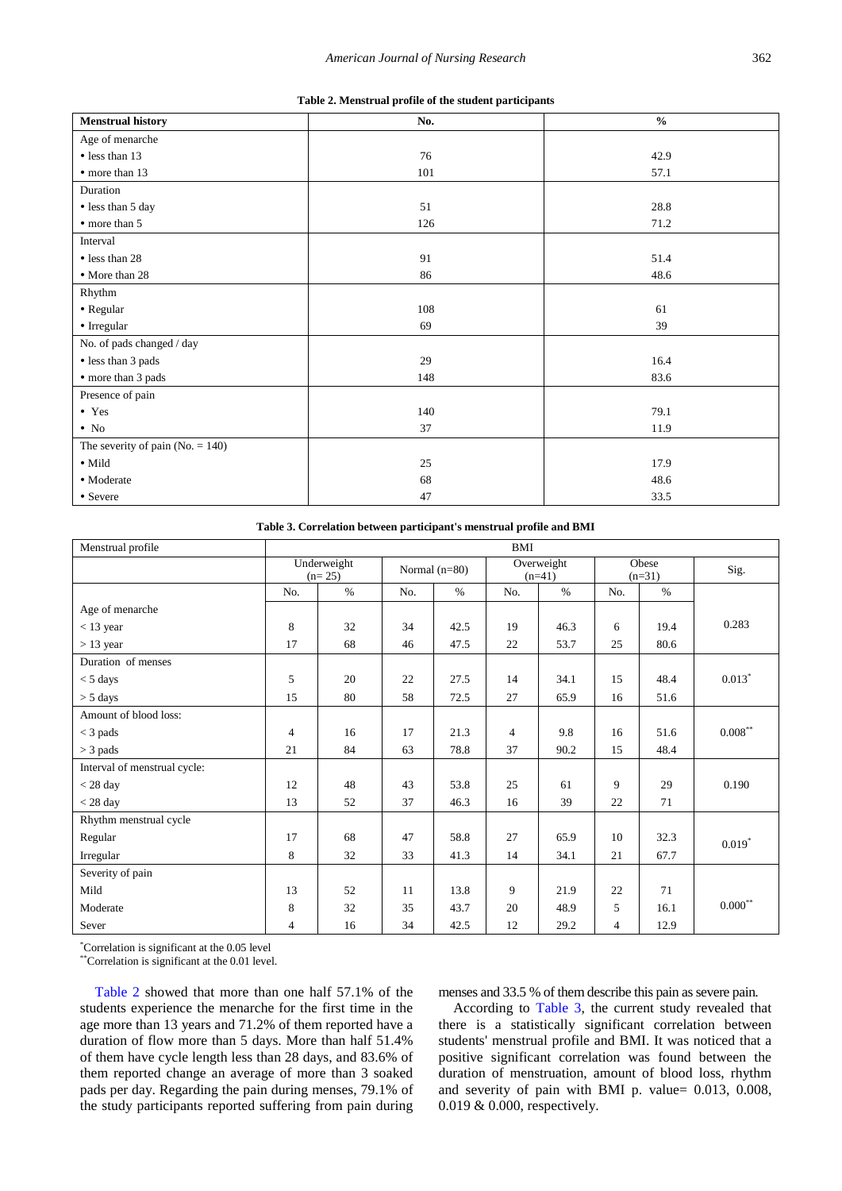| Table 2. Menstrual profile of the student participants |  |  |
|--------------------------------------------------------|--|--|
|                                                        |  |  |

<span id="page-2-0"></span>

| <b>Menstrual history</b>           | No. | $\frac{6}{6}$ |
|------------------------------------|-----|---------------|
| Age of menarche                    |     |               |
| • less than 13                     | 76  | 42.9          |
| • more than 13                     | 101 | 57.1          |
| Duration                           |     |               |
| • less than 5 day                  | 51  | 28.8          |
| • more than 5                      | 126 | 71.2          |
| Interval                           |     |               |
| • less than 28                     | 91  | 51.4          |
| • More than 28                     | 86  | 48.6          |
| Rhythm                             |     |               |
| • Regular                          | 108 | 61            |
| • Irregular                        | 69  | 39            |
| No. of pads changed / day          |     |               |
| • less than 3 pads                 | 29  | 16.4          |
| • more than 3 pads                 | 148 | 83.6          |
| Presence of pain                   |     |               |
| $\bullet$ Yes                      | 140 | 79.1          |
| $\bullet$ No                       | 37  | 11.9          |
| The severity of pain $(No. = 140)$ |     |               |
| $\bullet$ Mild                     | 25  | 17.9          |
| · Moderate                         | 68  | 48.6          |
| • Severe                           | 47  | 33.5          |

**Table 3. Correlation between participant's menstrual profile and BMI** 

<span id="page-2-1"></span>

| Menstrual profile            | <b>BMI</b>              |      |                 |      |                        |               |                   |      |            |
|------------------------------|-------------------------|------|-----------------|------|------------------------|---------------|-------------------|------|------------|
|                              | Underweight<br>$(n=25)$ |      | Normal $(n=80)$ |      | Overweight<br>$(n=41)$ |               | Obese<br>$(n=31)$ | Sig. |            |
|                              | No.                     | $\%$ | No.             | $\%$ | No.                    | $\frac{0}{0}$ | No.               | $\%$ |            |
| Age of menarche              |                         |      |                 |      |                        |               |                   |      |            |
| $<$ 13 year                  | 8                       | 32   | 34              | 42.5 | 19                     | 46.3          | 6                 | 19.4 | 0.283      |
| $> 13$ year                  | 17                      | 68   | 46              | 47.5 | 22                     | 53.7          | 25                | 80.6 |            |
| Duration of menses           |                         |      |                 |      |                        |               |                   |      |            |
| $<$ 5 days                   | 5                       | 20   | 22              | 27.5 | 14                     | 34.1          | 15                | 48.4 | $0.013*$   |
| $>$ 5 days                   | 15                      | 80   | 58              | 72.5 | 27                     | 65.9          | 16                | 51.6 |            |
| Amount of blood loss:        |                         |      |                 |      |                        |               |                   |      |            |
| $<$ 3 pads                   | $\overline{4}$          | 16   | 17              | 21.3 | $\overline{4}$         | 9.8           | 16                | 51.6 | $0.008***$ |
| $>$ 3 pads                   | 21                      | 84   | 63              | 78.8 | 37                     | 90.2          | 15                | 48.4 |            |
| Interval of menstrual cycle: |                         |      |                 |      |                        |               |                   |      |            |
| $<$ 28 day                   | 12                      | 48   | 43              | 53.8 | 25                     | 61            | 9                 | 29   | 0.190      |
| $<$ 28 day                   | 13                      | 52   | 37              | 46.3 | 16                     | 39            | 22                | 71   |            |
| Rhythm menstrual cycle       |                         |      |                 |      |                        |               |                   |      |            |
| Regular                      | 17                      | 68   | 47              | 58.8 | 27                     | 65.9          | 10                | 32.3 | $0.019*$   |
| Irregular                    | 8                       | 32   | 33              | 41.3 | 14                     | 34.1          | 21                | 67.7 |            |
| Severity of pain             |                         |      |                 |      |                        |               |                   |      |            |
| Mild                         | 13                      | 52   | 11              | 13.8 | 9                      | 21.9          | 22                | 71   |            |
| Moderate                     | 8                       | 32   | 35              | 43.7 | 20                     | 48.9          | 5                 | 16.1 | $0.000***$ |
| Sever                        | $\overline{4}$          | 16   | 34              | 42.5 | 12                     | 29.2          | 4                 | 12.9 |            |

\* Correlation is significant at the 0.05 level

\*\*Correlation is significant at the 0.01 level.

[Table 2](#page-2-0) showed that more than one half 57.1% of the students experience the menarche for the first time in the age more than 13 years and 71.2% of them reported have a duration of flow more than 5 days. More than half 51.4% of them have cycle length less than 28 days, and 83.6% of them reported change an average of more than 3 soaked pads per day. Regarding the pain during menses, 79.1% of the study participants reported suffering from pain during

menses and 33.5 % of them describe this pain as severe pain.

According to [Table 3,](#page-2-1) the current study revealed that there is a statistically significant correlation between students' menstrual profile and BMI. It was noticed that a positive significant correlation was found between the duration of menstruation, amount of blood loss, rhythm and severity of pain with BMI p. value= 0.013, 0.008, 0.019 & 0.000, respectively.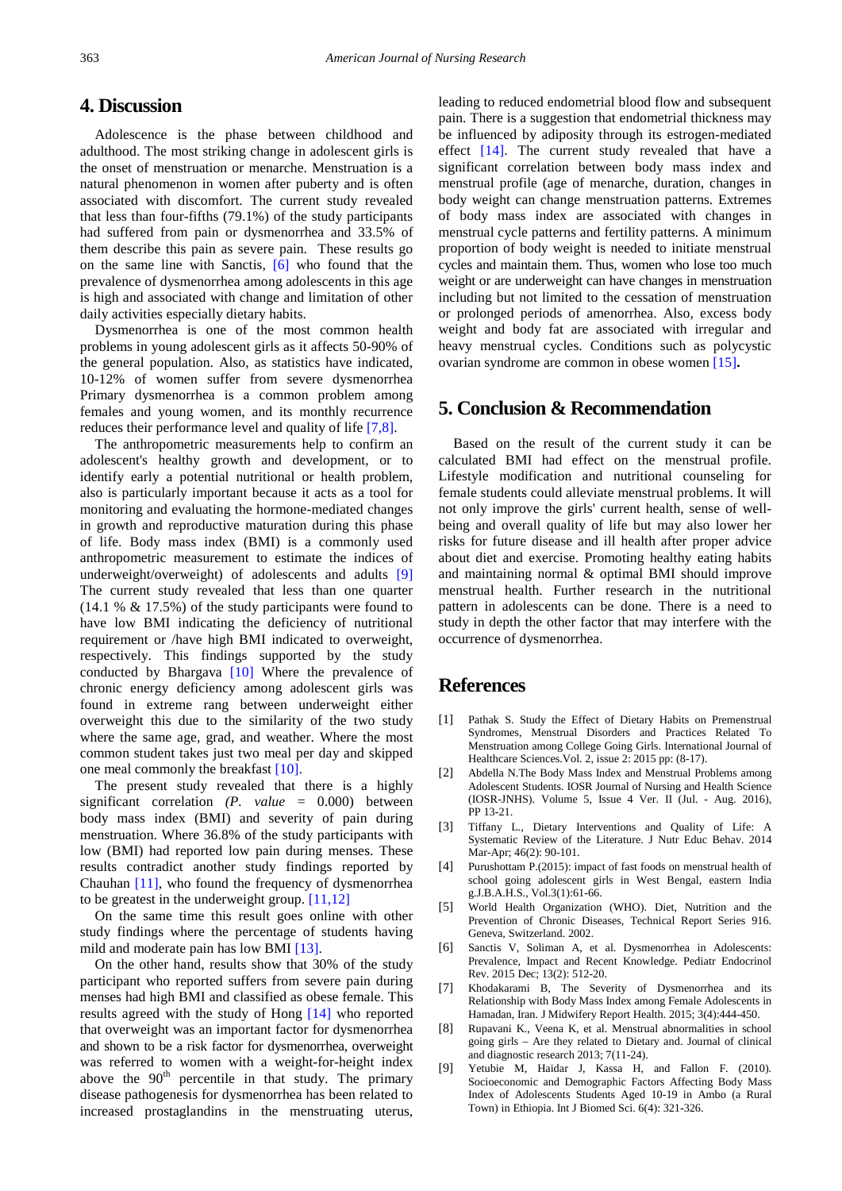## **4. Discussion**

Adolescence is the phase between childhood and adulthood. The most striking change in adolescent girls is the onset of menstruation or menarche. Menstruation is a natural phenomenon in women after puberty and is often associated with discomfort. The current study revealed that less than four-fifths (79.1%) of the study participants had suffered from pain or dysmenorrhea and 33.5% of them describe this pain as severe pain. These results go on the same line with Sanctis, [\[6\]](#page-3-5) who found that the prevalence of dysmenorrhea among adolescents in this age is high and associated with change and limitation of other daily activities especially dietary habits.

Dysmenorrhea is one of the most common health problems in young adolescent girls as it affects 50-90% of the general population. Also, as statistics have indicated, 10-12% of women suffer from severe dysmenorrhea Primary dysmenorrhea is a common problem among females and young women, and its monthly recurrence reduces their performance level and quality of life [\[7,8\].](#page-3-6)

The anthropometric measurements help to confirm an adolescent's healthy growth and development, or to identify early a potential nutritional or health problem, also is particularly important because it acts as a tool for monitoring and evaluating the hormone-mediated changes in growth and reproductive maturation during this phase of life. Body mass index (BMI) is a commonly used anthropometric measurement to estimate the indices of underweight/overweight) of adolescents and adults [\[9\]](#page-3-7) The current study revealed that less than one quarter (14.1 % & 17.5%) of the study participants were found to have low BMI indicating the deficiency of nutritional requirement or /have high BMI indicated to overweight, respectively. This findings supported by the study conducted by Bhargava [\[10\]](#page-4-0) Where the prevalence of chronic energy deficiency among adolescent girls was found in extreme rang between underweight either overweight this due to the similarity of the two study where the same age, grad, and weather. Where the most common student takes just two meal per day and skipped one meal commonly the breakfas[t \[10\].](#page-4-0)

The present study revealed that there is a highly significant correlation *(P. value* = 0.000) between body mass index (BMI) and severity of pain during menstruation. Where 36.8% of the study participants with low (BMI) had reported low pain during menses. These results contradict another study findings reported by Chauhan [\[11\],](#page-4-1) who found the frequency of dysmenorrhea to be greatest in the underweight group. [\[11,12\]](#page-4-1)

On the same time this result goes online with other study findings where the percentage of students having mild and moderate pain has low BM[I \[13\].](#page-4-2)

On the other hand, results show that 30% of the study participant who reported suffers from severe pain during menses had high BMI and classified as obese female. This results agreed with the study of Hong [\[14\]](#page-4-3) who reported that overweight was an important factor for dysmenorrhea and shown to be a risk factor for dysmenorrhea, overweight was referred to women with a weight-for-height index above the  $90<sup>th</sup>$  percentile in that study. The primary disease pathogenesis for dysmenorrhea has been related to increased prostaglandins in the menstruating uterus,

leading to reduced endometrial blood flow and subsequent pain. There is a suggestion that endometrial thickness may be influenced by adiposity through its estrogen-mediated effect [\[14\].](#page-4-3) The current study revealed that have a significant correlation between body mass index and menstrual profile (age of menarche, duration, changes in body weight can change menstruation patterns. Extremes of body mass index are associated with changes in menstrual cycle patterns and fertility patterns. A minimum proportion of body weight is needed to initiate menstrual cycles and maintain them. Thus, women who lose too much weight or are underweight can have changes in menstruation including but not limited to the cessation of menstruation or prolonged periods of amenorrhea. Also, excess body weight and body fat are associated with irregular and heavy menstrual cycles. Conditions such as polycystic ovarian syndrome are common in obese women [\[15\]](#page-4-4)**.**

## **5. Conclusion & Recommendation**

Based on the result of the current study it can be calculated BMI had effect on the menstrual profile. Lifestyle modification and nutritional counseling for female students could alleviate menstrual problems. It will not only improve the girls' current health, sense of wellbeing and overall quality of life but may also lower her risks for future disease and ill health after proper advice about diet and exercise. Promoting healthy eating habits and maintaining normal & optimal BMI should improve menstrual health. Further research in the nutritional pattern in adolescents can be done. There is a need to study in depth the other factor that may interfere with the occurrence of dysmenorrhea.

# **References**

- <span id="page-3-0"></span>[1] Pathak S. Study the Effect of Dietary Habits on Premenstrual Syndromes, Menstrual Disorders and Practices Related To Menstruation among College Going Girls. International Journal of Healthcare Sciences. Vol. 2, issue 2: 2015 pp: (8-17).
- <span id="page-3-1"></span>[2] Abdella N.The Body Mass Index and Menstrual Problems among Adolescent Students. IOSR Journal of Nursing and Health Science (IOSR-JNHS). Volume 5, Issue 4 Ver. II (Jul. - Aug. 2016), PP 13-21.
- <span id="page-3-2"></span>[3] Tiffany L., Dietary Interventions and Quality of Life: A Systematic Review of the Literature. J Nutr Educ Behav. 2014 Mar-Apr; 46(2): 90-101.
- <span id="page-3-3"></span>[4] Purushottam P.(2015): impact of fast foods on menstrual health of school going adolescent girls in West Bengal, eastern India g.J.B.A.H.S., Vol.3(1):61-66.
- <span id="page-3-4"></span>[5] World Health Organization (WHO). Diet, Nutrition and the Prevention of Chronic Diseases, Technical Report Series 916. Geneva, Switzerland. 2002.
- <span id="page-3-5"></span>[6] Sanctis V, Soliman A, et al. Dysmenorrhea in Adolescents: Prevalence, Impact and Recent Knowledge. Pediatr Endocrinol Rev. 2015 Dec; 13(2): 512-20.
- <span id="page-3-6"></span>[7] Khodakarami B, The Severity of Dysmenorrhea and its Relationship with Body Mass Index among Female Adolescents in Hamadan, Iran. J Midwifery Report Health. 2015; 3(4):444-450.
- [8] Rupavani K., Veena K, et al. Menstrual abnormalities in school going girls – Are they related to Dietary and. Journal of clinical and diagnostic research 2013; 7(11-24).
- <span id="page-3-7"></span>[9] Yetubie M, Haidar J, Kassa H, and Fallon F. (2010). Socioeconomic and Demographic Factors Affecting Body Mass Index of Adolescents Students Aged 10-19 in Ambo (a Rural Town) in Ethiopia. Int J Biomed Sci. 6(4): 321-326.